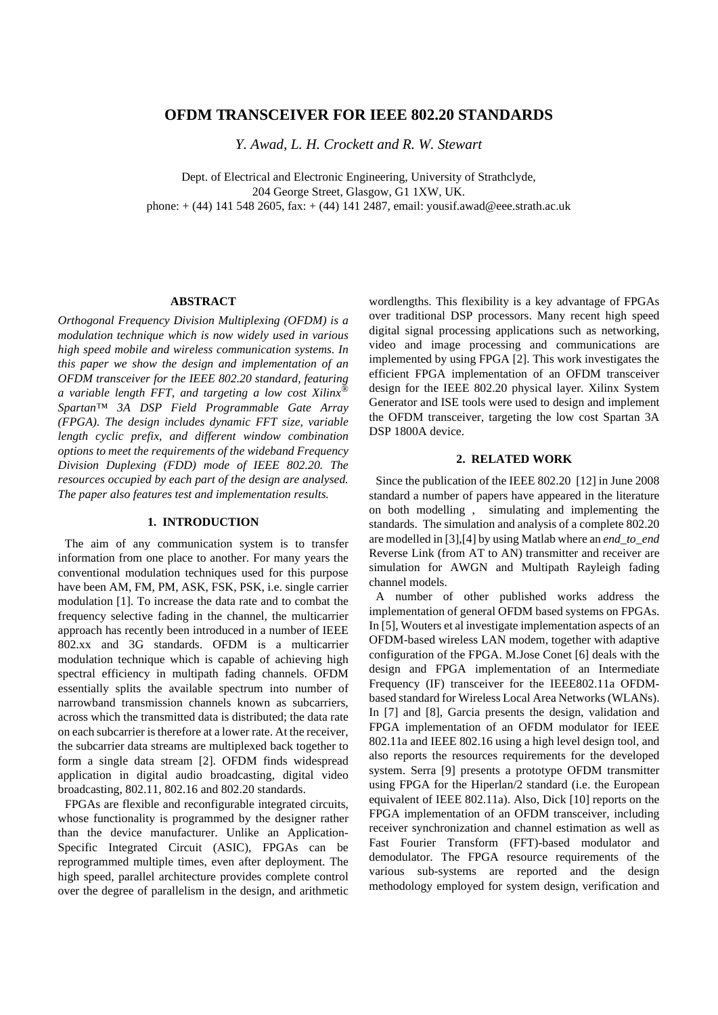## **OFDM TRANSCEIVER FOR IEEE 802.20 STANDARDS**

*Y. Awad, L. H. Crockett and R. W. Stewart*

Dept. of Electrical and Electronic Engineering, University of Strathclyde, 204 George Street, Glasgow, G1 1XW, UK. phone: + (44) 141 548 2605, fax: + (44) 141 2487, email: yousif.awad@eee.strath.ac.uk

#### **ABSTRACT**

*Orthogonal Frequency Division Multiplexing (OFDM) is a modulation technique which is now widely used in various high speed mobile and wireless communication systems. In this paper we show the design and implementation of an OFDM transceiver for the IEEE 802.20 standard, featuring a variable length FFT, and targeting a low cost Xilinx® Spartan™ 3A DSP Field Programmable Gate Array (FPGA). The design includes dynamic FFT size, variable length cyclic prefix, and different window combination options to meet the requirements of the wideband Frequency Division Duplexing (FDD) mode of IEEE 802.20. The resources occupied by each part of the design are analysed. The paper also features test and implementation results.*

#### **1. INTRODUCTION**

The aim of any communication system is to transfer information from one place to another. For many years the conventional modulation techniques used for this purpose have been AM, FM, PM, ASK, FSK, PSK, i.e. single carrier modulation [1]. To increase the data rate and to combat the frequency selective fading in the channel, the multicarrier approach has recently been introduced in a number of IEEE 802.xx and 3G standards. OFDM is a multicarrier modulation technique which is capable of achieving high spectral efficiency in multipath fading channels. OFDM essentially splits the available spectrum into number of narrowband transmission channels known as subcarriers, across which the transmitted data is distributed; the data rate on each subcarrier is therefore at a lower rate. At the receiver, the subcarrier data streams are multiplexed back together to form a single data stream [2]. OFDM finds widespread application in digital audio broadcasting, digital video broadcasting, 802.11, 802.16 and 802.20 standards.

FPGAs are flexible and reconfigurable integrated circuits, whose functionality is programmed by the designer rather than the device manufacturer. Unlike an Application-Specific Integrated Circuit (ASIC), FPGAs can be reprogrammed multiple times, even after deployment. The high speed, parallel architecture provides complete control over the degree of parallelism in the design, and arithmetic

wordlengths. This flexibility is a key advantage of FPGAs over traditional DSP processors. Many recent high speed digital signal processing applications such as networking, video and image processing and communications are implemented by using FPGA [2]. This work investigates the efficient FPGA implementation of an OFDM transceiver design for the IEEE 802.20 physical layer. Xilinx System Generator and ISE tools were used to design and implement the OFDM transceiver, targeting the low cost Spartan 3A DSP 1800A device.

#### **2. RELATED WORK**

Since the publication of the IEEE 802.20 [12] in June 2008 standard a number of papers have appeared in the literature on both modelling , simulating and implementing the standards. The simulation and analysis of a complete 802.20 are modelled in [3],[4] by using Matlab where an *end\_to\_end* Reverse Link (from AT to AN) transmitter and receiver are simulation for AWGN and Multipath Rayleigh fading channel models.

A number of other published works address the implementation of general OFDM based systems on FPGAs. In [5], Wouters et al investigate implementation aspects of an OFDM-based wireless LAN modem, together with adaptive configuration of the FPGA. M.Jose Conet [6] deals with the design and FPGA implementation of an Intermediate Frequency (IF) transceiver for the IEEE802.11a OFDMbased standard for Wireless Local Area Networks (WLANs). In [7] and [8], Garcia presents the design, validation and FPGA implementation of an OFDM modulator for IEEE 802.11a and IEEE 802.16 using a high level design tool, and also reports the resources requirements for the developed system. Serra [9] presents a prototype OFDM transmitter using FPGA for the Hiperlan/2 standard (i.e. the European equivalent of IEEE 802.11a). Also, Dick [10] reports on the FPGA implementation of an OFDM transceiver, including receiver synchronization and channel estimation as well as Fast Fourier Transform (FFT)-based modulator and demodulator. The FPGA resource requirements of the various sub-systems are reported and the design methodology employed for system design, verification and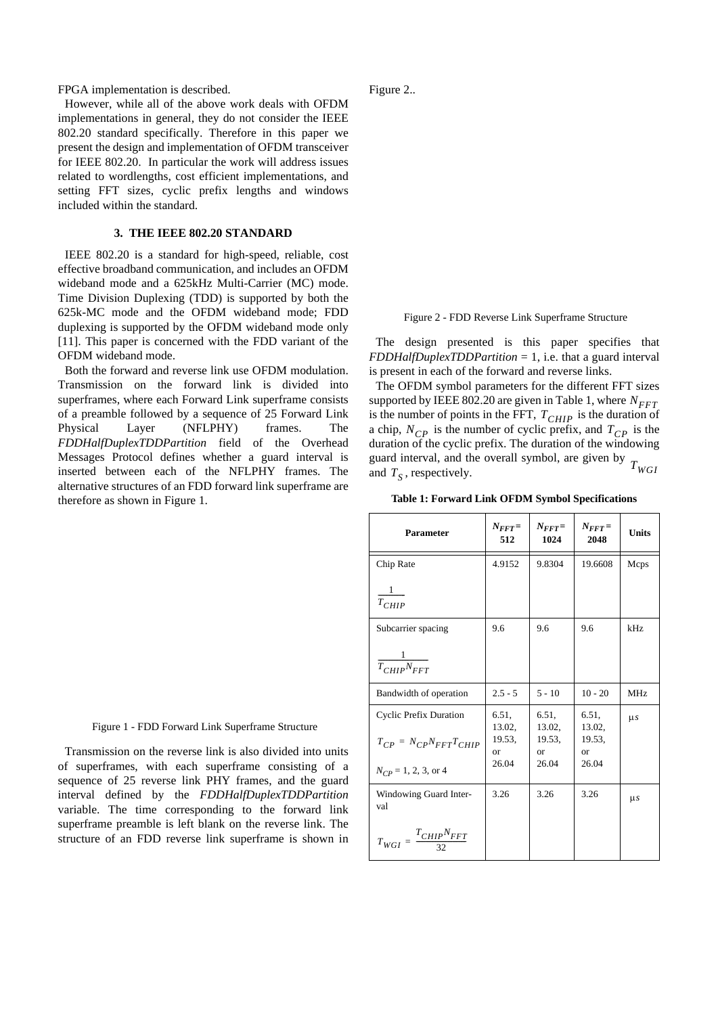FPGA implementation is described.

However, while all of the above work deals with OFDM implementations in general, they do not consider the IEEE 802.20 standard specifically. Therefore in this paper we present the design and implementation of OFDM transceiver for IEEE 802.20. In particular the work will address issues related to wordlengths, cost efficient implementations, and setting FFT sizes, cyclic prefix lengths and windows included within the standard.

#### **3. THE IEEE 802.20 STANDARD**

IEEE 802.20 is a standard for high-speed, reliable, cost effective broadband communication, and includes an OFDM wideband mode and a 625kHz Multi-Carrier (MC) mode. Time Division Duplexing (TDD) is supported by both the 625k-MC mode and the OFDM wideband mode; FDD duplexing is supported by the OFDM wideband mode only [11]. This paper is concerned with the FDD variant of the OFDM wideband mode.

Both the forward and reverse link use OFDM modulation. Transmission on the forward link is divided into superframes, where each Forward Link superframe consists of a preamble followed by a sequence of 25 Forward Link Physical Layer (NFLPHY) frames. The *FDDHalfDuplexTDDPartition* field of the Overhead Messages Protocol defines whether a guard interval is inserted between each of the NFLPHY frames. The alternative structures of an FDD forward link superframe are therefore as shown in Figure 1.



Transmission on the reverse link is also divided into units of superframes, with each superframe consisting of a sequence of 25 reverse link PHY frames, and the guard interval defined by the *FDDHalfDuplexTDDPartition* variable. The time corresponding to the forward link superframe preamble is left blank on the reverse link. The structure of an FDD reverse link superframe is shown in Figure 2..

Figure 2 - FDD Reverse Link Superframe Structure

The design presented is this paper specifies that *FDDHalfDuplexTDDPartition* = 1, i.e. that a guard interval is present in each of the forward and reverse links.

The OFDM symbol parameters for the different FFT sizes supported by IEEE 802.20 are given in Table 1, where  $N_{FFT}$ is the number of points in the FFT,  $T_{CHIP}$  is the duration of a chip,  $N_{CP}$  is the number of cyclic prefix, and  $T_{CP}$  is the duration of the cyclic prefix. The duration of the windowing guard interval, and the overall symbol, are given by  $T_{WGI}$  and  $T_S$ , respectively. and  $T_S$ , respectively.

**Table 1: Forward Link OFDM Symbol Specifications**

| <b>Parameter</b>                       | $N_{FFT}$<br>512      | $N_{FFT}$<br>1024                | $N_{FFT}$<br>2048            | <b>Units</b>    |
|----------------------------------------|-----------------------|----------------------------------|------------------------------|-----------------|
| Chip Rate                              | 4.9152                | 9.8304                           | 19.6608                      | Mcps            |
| $rac{1}{T_{CHIP}}$                     |                       |                                  |                              |                 |
| Subcarrier spacing                     | 9.6                   | 9.6                              | 9.6                          | kHz             |
| $rac{1}{T_{CHIP}N_{FFT}}$              |                       |                                  |                              |                 |
| Bandwidth of operation                 | $2.5 - 5$             | $5 - 10$                         | $10 - 20$                    | MH <sub>z</sub> |
| <b>Cyclic Prefix Duration</b>          | 6.51,<br>13.02.       | 6.51.<br>13.02,                  | 6.51,<br>13.02,              | $\mu s$         |
| $T_{CP} = N_{CP} N_{FFT} T_{CHIP}$     | 19.53,<br>or<br>26.04 | 19.53,<br><sub>or</sub><br>26.04 | 19.53,<br><b>or</b><br>26.04 |                 |
| $N_{CP} = 1, 2, 3,$ or 4               |                       |                                  |                              |                 |
| Windowing Guard Inter-<br>val          | 3.26                  | 3.26                             | 3.26                         | $\mu s$         |
| $T_{WGI} = \frac{T_{CHIP}N_{FFT}}{32}$ |                       |                                  |                              |                 |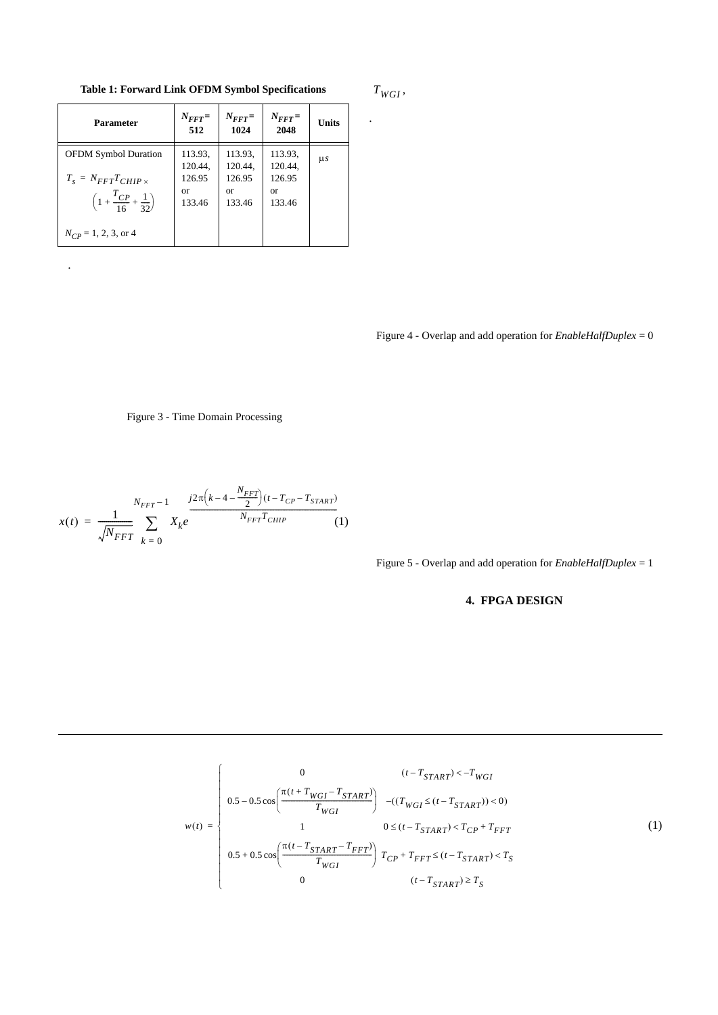**Table 1: Forward Link OFDM Symbol Specifications**

| <b>Parameter</b>                                                                                                  | $N_{FFT}$<br>512                                    | $N_{FFT}$<br>1024                                   | $N_{FFT}$<br>2048                                   | <b>Units</b> |
|-------------------------------------------------------------------------------------------------------------------|-----------------------------------------------------|-----------------------------------------------------|-----------------------------------------------------|--------------|
| <b>OFDM Symbol Duration</b><br>$T_s = N_{FFT} T_{CHIP \times}$<br>$\left(1+\frac{T_{CP}}{16}+\frac{1}{32}\right)$ | 113.93.<br>120.44,<br>126.95<br><b>or</b><br>133.46 | 113.93,<br>120.44,<br>126.95<br><b>or</b><br>133.46 | 113.93,<br>120.44,<br>126.95<br><b>or</b><br>133.46 | $\mu s$      |
| $N_{CP} = 1, 2, 3,$ or 4                                                                                          |                                                     |                                                     |                                                     |              |

.

 $T_{WGI}$ 

.

Figure 4 - Overlap and add operation for *EnableHalfDuplex* = 0

### Figure 3 - Time Domain Processing

$$
x(t) = \frac{1}{\sqrt{N_{FFT}}} \sum_{k=0}^{N_{FFT}-1} X_k e^{\frac{j2\pi \left(k-4-\frac{N_{FFT}}{2}\right)(t-T_{CP}-T_{START})}{N_{FFT}T_{CHIP}}}
$$
(1)

Figure 5 - Overlap and add operation for *EnableHalfDuplex* = 1

# **4. FPGA DESIGN**

$$
w(t) = \begin{cases} 0 & (t - T_{START}) < -T_{WGI} \\ 0.5 - 0.5 \cos\left(\frac{\pi (t + T_{WGI} - T_{START})}{T_{WGI}}\right) & -(T_{WGI} \le (t - T_{START})) < 0) \\ 1 & 0 \le (t - T_{START}) < T_{CP} + T_{FFT} \\ 0.5 + 0.5 \cos\left(\frac{\pi (t - T_{START} - T_{FFT})}{T_{WGI}}\right) & T_{CP} + T_{FFT} \le (t - T_{START}) < T_{S} \\ 0 & (t - T_{START}) \ge T_{S} \end{cases} \tag{1}
$$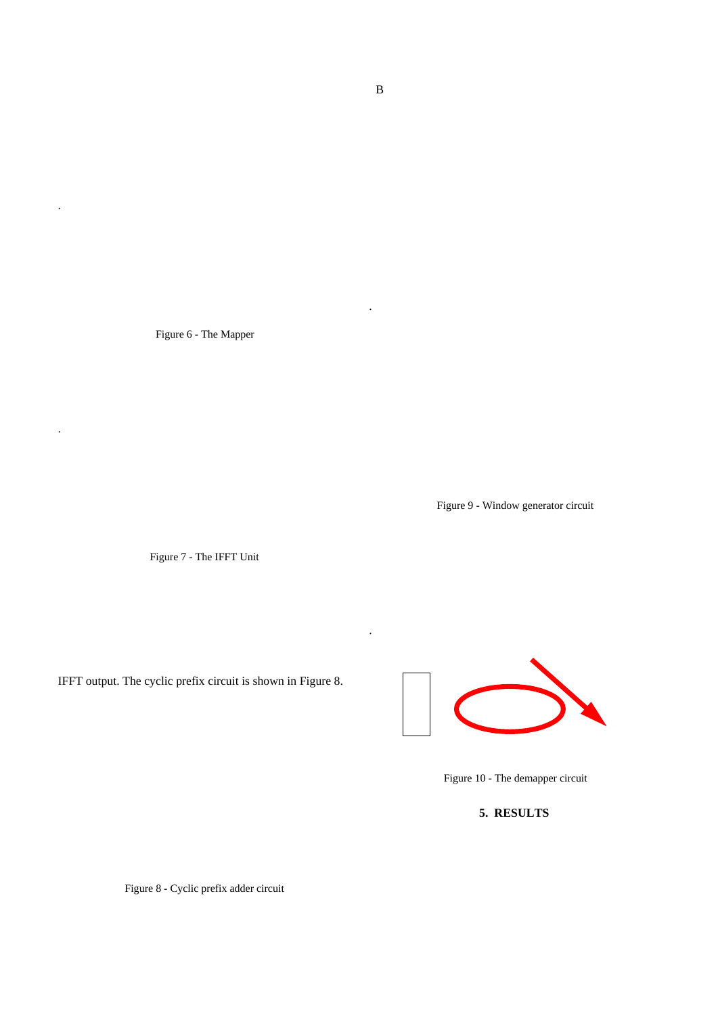Figure 6 - The Mapper

.

.

Figure 9 - Window generator circuit

Figure 7 - The IFFT Unit

IFFT output. The cyclic prefix circuit is shown in Figure 8.



Figure 10 - The demapper circuit

**5. RESULTS**

Figure 8 - Cyclic prefix adder circuit

.

.